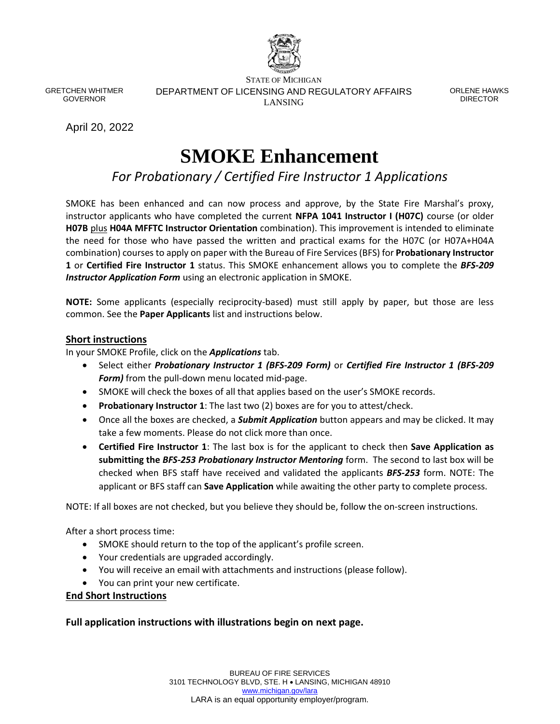

GRETCHEN WHITMER GOVERNOR

STATE OF MICHIGAN DEPARTMENT OF LICENSING AND REGULATORY AFFAIRS LANSING

ORLENE HAWKS DIRECTOR

April 20, 2022

# **SMOKE Enhancement**

*For Probationary / Certified Fire Instructor 1 Applications*

SMOKE has been enhanced and can now process and approve, by the State Fire Marshal's proxy, instructor applicants who have completed the current **NFPA 1041 Instructor I (H07C)** course (or older **H07B** plus **H04A MFFTC Instructor Orientation** combination). This improvement is intended to eliminate the need for those who have passed the written and practical exams for the H07C (or H07A+H04A combination) courses to apply on paper with the Bureau of Fire Services (BFS) for **Probationary Instructor 1** or **Certified Fire Instructor 1** status. This SMOKE enhancement allows you to complete the *BFS-209 Instructor Application Form* using an electronic application in SMOKE.

**NOTE:** Some applicants (especially reciprocity-based) must still apply by paper, but those are less common. See the **Paper Applicants** list and instructions below.

#### **Short instructions**

In your SMOKE Profile, click on the *Applications* tab.

- Select either *Probationary Instructor 1 (BFS-209 Form)* or *Certified Fire Instructor 1 (BFS-209 Form)* from the pull-down menu located mid-page.
- SMOKE will check the boxes of all that applies based on the user's SMOKE records.
- **Probationary Instructor 1**: The last two (2) boxes are for you to attest/check.
- Once all the boxes are checked, a *Submit Application* button appears and may be clicked. It may take a few moments. Please do not click more than once.
- **Certified Fire Instructor 1**: The last box is for the applicant to check then **Save Application as submitting the** *BFS-253 Probationary Instructor Mentoring* form. The second to last box will be checked when BFS staff have received and validated the applicants *BFS-253* form. NOTE: The applicant or BFS staff can **Save Application** while awaiting the other party to complete process.

NOTE: If all boxes are not checked, but you believe they should be, follow the on-screen instructions.

After a short process time:

- SMOKE should return to the top of the applicant's profile screen.
- Your credentials are upgraded accordingly.
- You will receive an email with attachments and instructions (please follow).
- You can print your new certificate.

#### **End Short Instructions**

**Full application instructions with illustrations begin on next page.**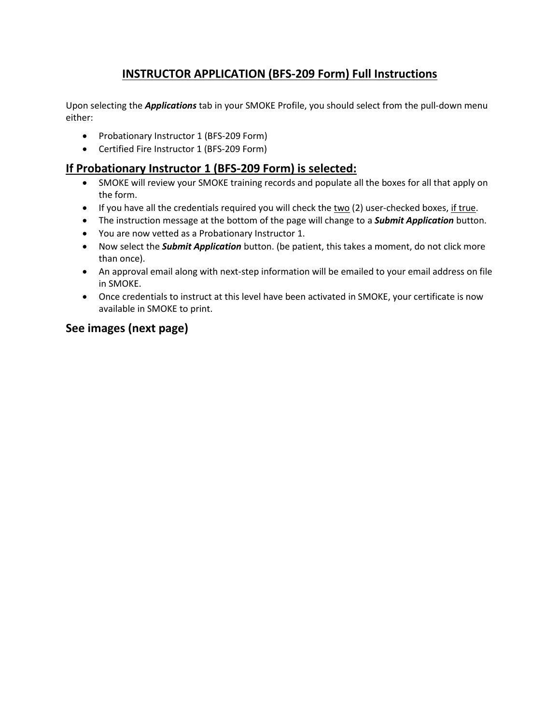## **INSTRUCTOR APPLICATION (BFS-209 Form) Full Instructions**

Upon selecting the *Applications* tab in your SMOKE Profile, you should select from the pull-down menu either:

- Probationary Instructor 1 (BFS-209 Form)
- Certified Fire Instructor 1 (BFS-209 Form)

### **If Probationary Instructor 1 (BFS-209 Form) is selected:**

- SMOKE will review your SMOKE training records and populate all the boxes for all that apply on the form.
- $\bullet$  If you have all the credentials required you will check the two (2) user-checked boxes, if true.
- The instruction message at the bottom of the page will change to a *Submit Application* button.
- You are now vetted as a Probationary Instructor 1.
- Now select the *Submit Application* button. (be patient, this takes a moment, do not click more than once).
- An approval email along with next-step information will be emailed to your email address on file in SMOKE.
- Once credentials to instruct at this level have been activated in SMOKE, your certificate is now available in SMOKE to print.

### **See images (next page)**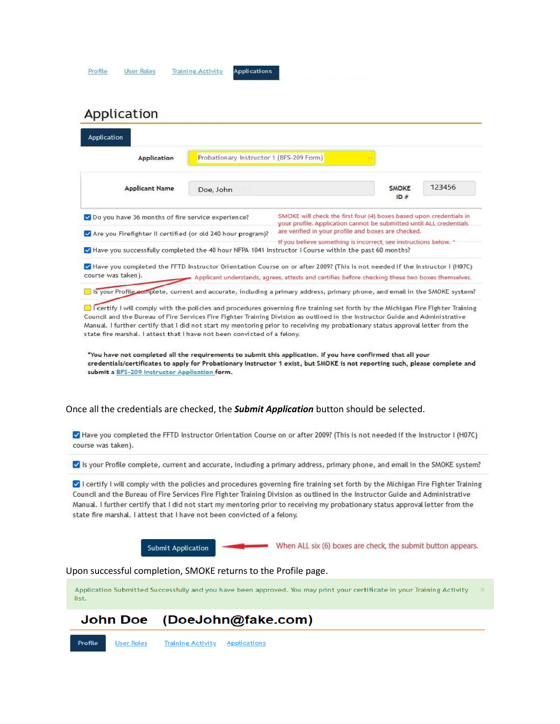| <b>Application</b><br><b>Applicant Name</b>                                                                                                                                                     |           |                                                                                                                                                                                                                                                                                                                                                                                                     |                     |        |  |
|-------------------------------------------------------------------------------------------------------------------------------------------------------------------------------------------------|-----------|-----------------------------------------------------------------------------------------------------------------------------------------------------------------------------------------------------------------------------------------------------------------------------------------------------------------------------------------------------------------------------------------------------|---------------------|--------|--|
|                                                                                                                                                                                                 |           | Probationary Instructor 1 (BFS-209 Form)                                                                                                                                                                                                                                                                                                                                                            |                     |        |  |
|                                                                                                                                                                                                 | Doe, John |                                                                                                                                                                                                                                                                                                                                                                                                     | <b>SMOKE</b><br>ID# | 123456 |  |
| SMOKE will check the first four (4) boxes based upon credentials in<br>Oo you have 36 months of fire service experience?<br>your profile. Application cannot be submitted until ALL credentials |           |                                                                                                                                                                                                                                                                                                                                                                                                     |                     |        |  |
| Are you Firefighter II certified (or old 240 hour program)?                                                                                                                                     |           | are verified in your profile and boxes are checked.                                                                                                                                                                                                                                                                                                                                                 |                     |        |  |
|                                                                                                                                                                                                 |           | If you believe something is incorrect, see instructions below. *<br>Have you successfully completed the 40 hour NFPA 1041 Instructor I Course within the past 60 months?                                                                                                                                                                                                                            |                     |        |  |
| course was taken).                                                                                                                                                                              |           | Have you completed the FFTD Instructor Orientation Course on or after 2009? (This is not needed if the Instructor I (H07C)<br>Applicant understands, agrees, attests and certifies before checking these two boxes themselves.                                                                                                                                                                      |                     |        |  |
|                                                                                                                                                                                                 |           | Is your Profile complete, current and accurate, including a primary address, primary phone, and email in the SMOKE system?                                                                                                                                                                                                                                                                          |                     |        |  |
|                                                                                                                                                                                                 |           |                                                                                                                                                                                                                                                                                                                                                                                                     |                     |        |  |
|                                                                                                                                                                                                 |           | Once all the credentials are checked, the <b>Submit Application</b> button should be selected.                                                                                                                                                                                                                                                                                                      |                     |        |  |
| course was taken).                                                                                                                                                                              |           | Have you completed the FFTD Instructor Orientation Course on or after 2009? (This is not needed if the Instructor I (H07C)                                                                                                                                                                                                                                                                          |                     |        |  |
|                                                                                                                                                                                                 |           | Is your Profile complete, current and accurate, including a primary address, primary phone, and email in the SMOKE system?                                                                                                                                                                                                                                                                          |                     |        |  |
| state fire marshal. I attest that I have not been convicted of a felony.                                                                                                                        |           | I certify I will comply with the policies and procedures governing fire training set forth by the Michigan Fire Fighter Training<br>Council and the Bureau of Fire Services Fire Fighter Training Division as outlined in the Instructor Guide and Administrative<br>Manual. I further certify that I did not start my mentoring prior to receiving my probationary status approval letter from the |                     |        |  |
| Submit Application                                                                                                                                                                              |           | When ALL six (6) boxes are check, the submit button appears.                                                                                                                                                                                                                                                                                                                                        |                     |        |  |
| Upon successful completion, SMOKE returns to the Profile page.                                                                                                                                  |           |                                                                                                                                                                                                                                                                                                                                                                                                     |                     |        |  |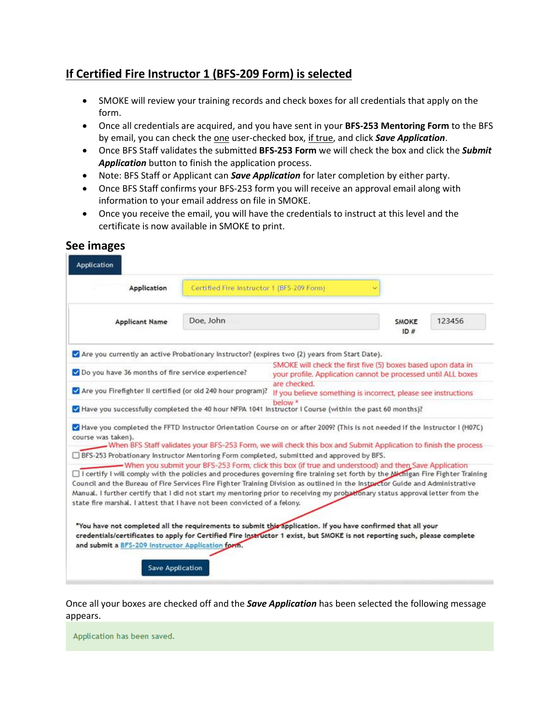## **If Certified Fire Instructor 1 (BFS-209 Form) is selected**

- SMOKE will review your training records and check boxes for all credentials that apply on the form.
- Once all credentials are acquired, and you have sent in your **BFS-253 Mentoring Form** to the BFS by email, you can check the one user-checked box, if true, and click *Save Application*.
- Once BFS Staff validates the submitted **BFS-253 Form** we will check the box and click the *Submit Application* button to finish the application process.
- Note: BFS Staff or Applicant can *Save Application* for later completion by either party.
- Once BFS Staff confirms your BFS-253 form you will receive an approval email along with information to your email address on file in SMOKE.
- Once you receive the email, you will have the credentials to instruct at this level and the certificate is now available in SMOKE to print.

| Application                                                                                                                                                                                                                                                                                                                                                                                                                                                                                                                                                                                                                                                                                                                                   | Certified Fire Instructor 1 (BFS-209 Form) |                                                                                                                                                                                                                             |                     |        |  |
|-----------------------------------------------------------------------------------------------------------------------------------------------------------------------------------------------------------------------------------------------------------------------------------------------------------------------------------------------------------------------------------------------------------------------------------------------------------------------------------------------------------------------------------------------------------------------------------------------------------------------------------------------------------------------------------------------------------------------------------------------|--------------------------------------------|-----------------------------------------------------------------------------------------------------------------------------------------------------------------------------------------------------------------------------|---------------------|--------|--|
| <b>Applicant Name</b>                                                                                                                                                                                                                                                                                                                                                                                                                                                                                                                                                                                                                                                                                                                         | Doe, John                                  |                                                                                                                                                                                                                             | <b>SMOKE</b><br>ID# | 123456 |  |
| Are you currently an active Probationary Instructor? (expires two (2) years from Start Date).                                                                                                                                                                                                                                                                                                                                                                                                                                                                                                                                                                                                                                                 |                                            |                                                                                                                                                                                                                             |                     |        |  |
| Do you have 36 months of fire service experience?                                                                                                                                                                                                                                                                                                                                                                                                                                                                                                                                                                                                                                                                                             |                                            | SMOKE will check the first five (5) boxes based upon data in<br>your profile. Application cannot be processed until ALL boxes                                                                                               |                     |        |  |
| Are you Firefighter II certified (or old 240 hour program)?                                                                                                                                                                                                                                                                                                                                                                                                                                                                                                                                                                                                                                                                                   |                                            | are checked.<br>If you believe something is incorrect, please see instructions                                                                                                                                              |                     |        |  |
| Have you successfully completed the 40 hour NFPA 1041 Instructor I Course (within the past 60 months)?                                                                                                                                                                                                                                                                                                                                                                                                                                                                                                                                                                                                                                        |                                            | below *                                                                                                                                                                                                                     |                     |        |  |
| Have you completed the FFTD Instructor Orientation Course on or after 2009? (This is not needed if the Instructor I (H07C)<br>course was taken).<br>$\Box$ BFS-253 Probationary Instructor Mentoring Form completed, submitted and approved by BFS.<br>$\Box$ I certify I will comply with the policies and procedures governing fire training set forth by the Nichigan Fire Fighter Training<br>Council and the Bureau of Fire Services Fire Fighter Training Division as outlined in the Instructor Guide and Administrative<br>Manual. I further certify that I did not start my mentoring prior to receiving my probationary status approval letter from the<br>state fire marshal. I attest that I have not been convicted of a felony. |                                            | - When BFS Staff validates your BFS-253 Form, we will check this box and Submit Application to finish the process<br>- When you submit your BFS-253 Form, click this box (if true and understood) and then Save Application |                     |        |  |
|                                                                                                                                                                                                                                                                                                                                                                                                                                                                                                                                                                                                                                                                                                                                               |                                            | *You have not completed all the requirements to submit this application. If you have confirmed that all your                                                                                                                |                     |        |  |

**See images**

Once all your boxes are checked off and the *Save Application* has been selected the following message appears.

Application has been saved.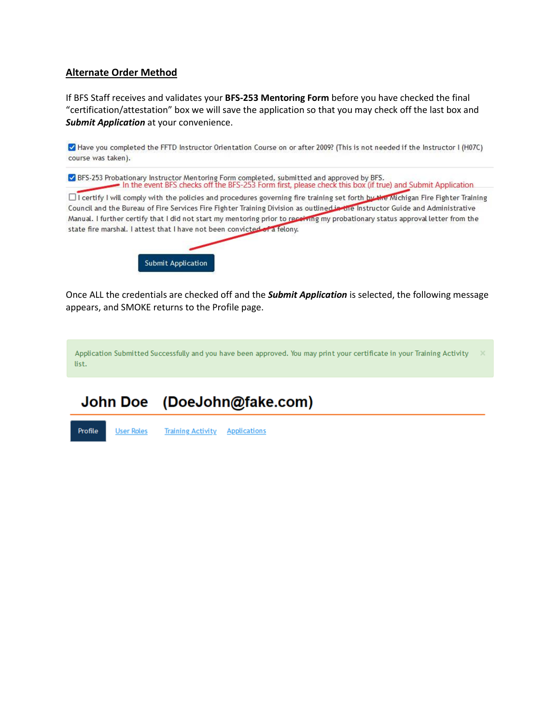#### **Alternate Order Method**

If BFS Staff receives and validates your **BFS-253 Mentoring Form** before you have checked the final "certification/attestation" box we will save the application so that you may check off the last box and *Submit Application* at your convenience.

Have you completed the FFTD Instructor Orientation Course on or after 2009? (This is not needed if the Instructor I (H07C) course was taken).

☑ BFS-253 Probationary Instructor Mentoring Form completed, submitted and approved by BFS. In the event BFS checks off the BFS-253 Form first, please check this box (if true) and Submit Application

□ I certify I will comply with the policies and procedures governing fire training set forth by the Michigan Fire Fighter Training Council and the Bureau of Fire Services Fire Fighter Training Division as outlined in the Instructor Guide and Administrative Manual. I further certify that I did not start my mentoring prior to receiving my probationary status approval letter from the state fire marshal. I attest that I have not been convicted of a felony.



Once ALL the credentials are checked off and the *Submit Application* is selected, the following message appears, and SMOKE returns to the Profile page.

Application Submitted Successfully and you have been approved. You may print your certificate in your Training Activity list.

#### **John Doe** (DoeJohn@fake.com)